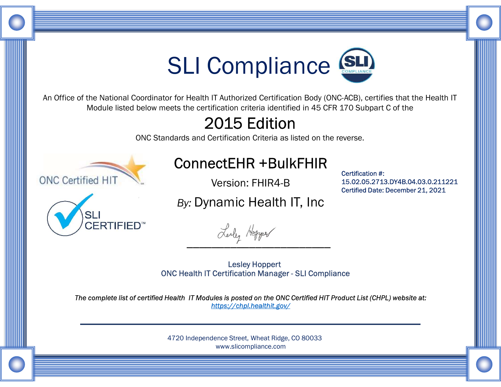

An Office of the National Coordinator for Health IT Authorized Certification Body (ONC-ACB), certifies that the Health IT Module listed below meets the certification criteria identified in 45 CFR 170 Subpart C of the

## 2015 Edition

ONC Standards and Certification Criteria as listed on the reverse.



Version: FHIR4-B

By: Dynamic Health IT, Inc 15.02.05.2713.DY4B.04.03.0.211221 Certified Date: December 21, 2021

Certification #:



Lealy Hopper

The complete list of certified Health IT Modules is posted on the ONC Certified HIT Product List (CHPL) website at:<br>https://chpl.healthit.gov/ Lesley Hoppert<br>
The Mealth IT Certification #:<br>
ConnectEHR +BulkFHIR<br>
Version: FHIR4-B<br>
Sy: Dynamic Health IT, Inc<br>
Secretified Date: December 21, 2021<br>
ONC Health IT Certification Manager - SLI Compliance<br>
Health IT Modul

> 4720 Independence Street, Wheat Ridge, CO 80033 www.slicompliance.com